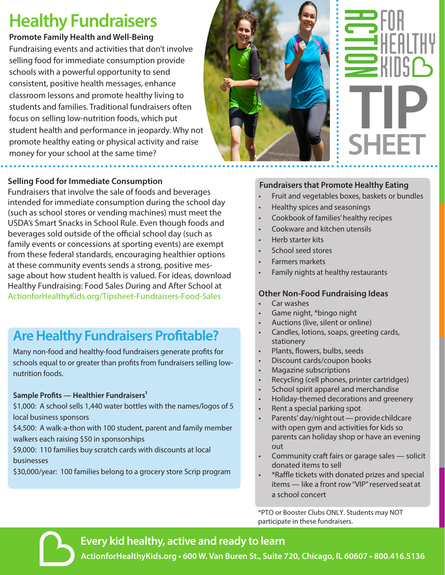# **Healthy Fundraisers**

#### **Promote Family Health and Well-Being**

Fundraising events and activities that don't involve selling food for immediate consumption provide schools with a powerful opportunity to send consistent, positive health messages, enhance classroom lessons and promote healthy living to students and families. Traditional fundraisers often focus on selling low-nutrition foods, which put student health and performance in jeopardy. Why not promote healthy eating or physical activity and raise money for your school at the same time?

#### **Selling Food for Immediate Consumption**

Fundraisers that involve the sale of foods and beverages intended for immediate consumption during the school day (such as school stores or vending machines) must meet the USDA's Smart Snacks in School Rule. Even though foods and beverages sold outside of the official school day (such as family events or concessions at sporting events) are exempt from these federal standards, encouraging healthier options at these community events sends a strong, positive message about how student health is valued. For ideas, download Healthy Fundraising: Food Sales During and After School at ActionforHealthyKids.org/Tipsheet-Fundraisers-Food-Sales

## **Are Healthy Fundraisers Profitable?**

Many non-food and healthy-food fundraisers generate profits for schools equal to or greater than profits from fundraisers selling lownutrition foods.

#### **Sample Profits — Healthier Fundraisers1**

\$1,000: A school sells 1,440 water bottles with the names/logos of 5 local business sponsors

\$4,500: A walk-a-thon with 100 student, parent and family member walkers each raising \$50 in sponsorships

\$9,000: 110 families buy scratch cards with discounts at local businesses

\$30,000/year: 100 families belong to a grocery store Scrip program



# **TIP SHEET**

#### **Fundraisers that Promote Healthy Eating**

- Fruit and vegetables boxes, baskets or bundles
- Healthy spices and seasonings
- Cookbook of families' healthy recipes
- Cookware and kitchen utensils
- Herb starter kits
- School seed stores
- Farmers markets
- Family nights at healthy restaurants

#### **Other Non-Food Fundraising Ideas**

- Car washes
- Game night, \*bingo night
- Auctions (live, silent or online)
- Candles, lotions, soaps, greeting cards, stationery
- Plants, flowers, bulbs, seeds
- Discount cards/coupon books
- Magazine subscriptions
- Recycling (cell phones, printer cartridges)
- School spirit apparel and merchandise
- Holiday-themed decorations and greenery
- Rent a special parking spot
- Parents' day/night out provide childcare with open gym and activities for kids so parents can holiday shop or have an evening out
- Community craft fairs or garage sales solicit donated items to sell
- \*Raffle tickets with donated prizes and special items — like a front row "VIP" reserved seat at a school concert

\*PTO or Booster Clubs ONLY. Students may NOT participate in these fundraisers.

#### **Every kid healthy, active and ready to learn**

**ActionforHealthyKids.org • 600 W. Van Buren St., Suite 720, Chicago, IL 60607 • 800.416.5136**